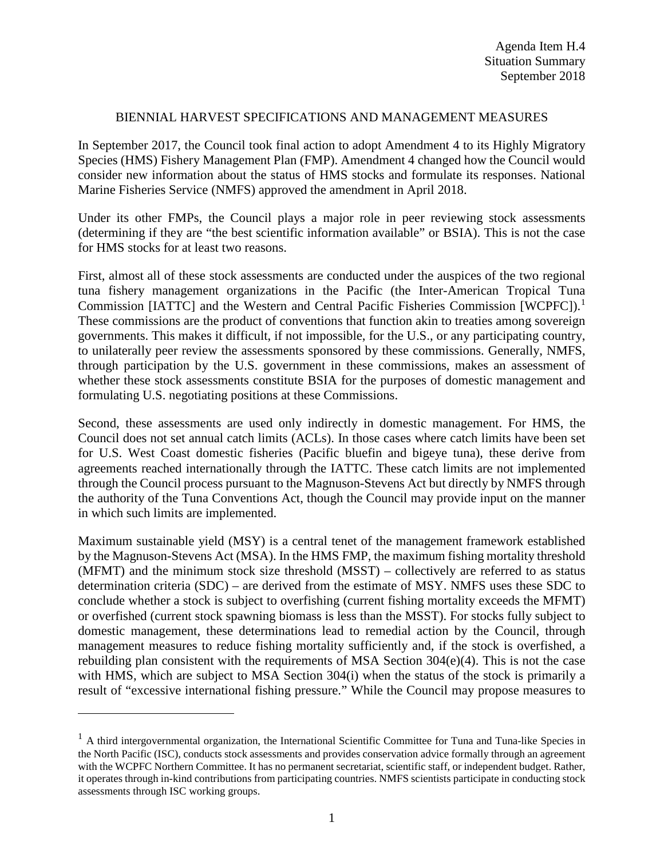## BIENNIAL HARVEST SPECIFICATIONS AND MANAGEMENT MEASURES

In September 2017, the Council took final action to adopt Amendment 4 to its Highly Migratory Species (HMS) Fishery Management Plan (FMP). Amendment 4 changed how the Council would consider new information about the status of HMS stocks and formulate its responses. National Marine Fisheries Service (NMFS) approved the amendment in April 2018.

Under its other FMPs, the Council plays a major role in peer reviewing stock assessments (determining if they are "the best scientific information available" or BSIA). This is not the case for HMS stocks for at least two reasons.

First, almost all of these stock assessments are conducted under the auspices of the two regional tuna fishery management organizations in the Pacific (the Inter-American Tropical Tuna Commission [IATTC] and the Western and Central Pacific Fisheries Commission [WCPFC]).<sup>[1](#page-0-0)</sup> These commissions are the product of conventions that function akin to treaties among sovereign governments. This makes it difficult, if not impossible, for the U.S., or any participating country, to unilaterally peer review the assessments sponsored by these commissions. Generally, NMFS, through participation by the U.S. government in these commissions, makes an assessment of whether these stock assessments constitute BSIA for the purposes of domestic management and formulating U.S. negotiating positions at these Commissions.

Second, these assessments are used only indirectly in domestic management. For HMS, the Council does not set annual catch limits (ACLs). In those cases where catch limits have been set for U.S. West Coast domestic fisheries (Pacific bluefin and bigeye tuna), these derive from agreements reached internationally through the IATTC. These catch limits are not implemented through the Council process pursuant to the Magnuson-Stevens Act but directly by NMFS through the authority of the Tuna Conventions Act, though the Council may provide input on the manner in which such limits are implemented.

Maximum sustainable yield (MSY) is a central tenet of the management framework established by the Magnuson-Stevens Act (MSA). In the HMS FMP, the maximum fishing mortality threshold (MFMT) and the minimum stock size threshold (MSST) – collectively are referred to as status determination criteria (SDC) – are derived from the estimate of MSY. NMFS uses these SDC to conclude whether a stock is subject to overfishing (current fishing mortality exceeds the MFMT) or overfished (current stock spawning biomass is less than the MSST). For stocks fully subject to domestic management, these determinations lead to remedial action by the Council, through management measures to reduce fishing mortality sufficiently and, if the stock is overfished, a rebuilding plan consistent with the requirements of MSA Section 304(e)(4). This is not the case with HMS, which are subject to MSA Section 304(i) when the status of the stock is primarily a result of "excessive international fishing pressure." While the Council may propose measures to

 $\overline{a}$ 

<span id="page-0-0"></span> $<sup>1</sup>$  A third intergovernmental organization, the International Scientific Committee for Tuna and Tuna-like Species in</sup> the North Pacific (ISC), conducts stock assessments and provides conservation advice formally through an agreement with the WCPFC Northern Committee. It has no permanent secretariat, scientific staff, or independent budget. Rather, it operates through in-kind contributions from participating countries. NMFS scientists participate in conducting stock assessments through ISC working groups.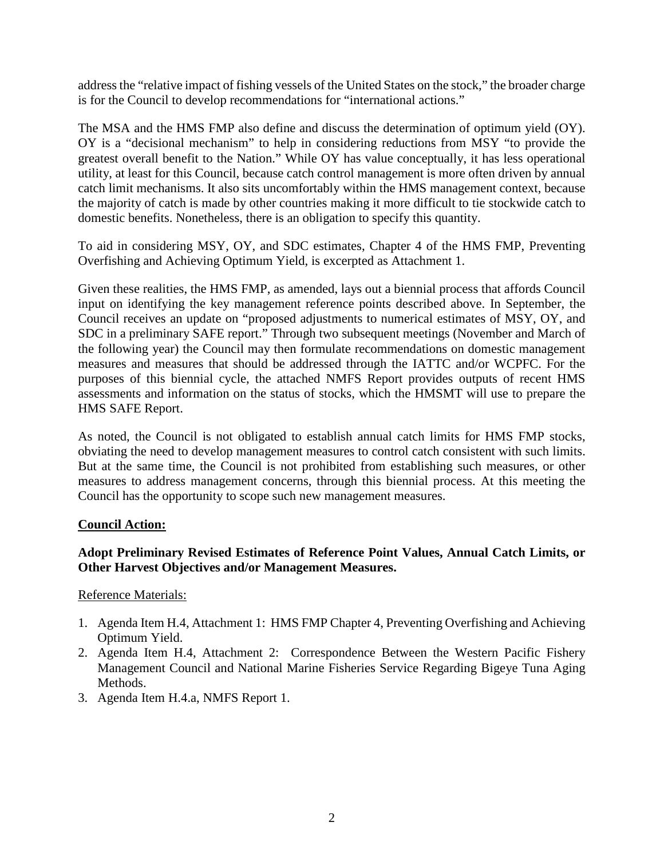address the "relative impact of fishing vessels of the United States on the stock," the broader charge is for the Council to develop recommendations for "international actions."

The MSA and the HMS FMP also define and discuss the determination of optimum yield (OY). OY is a "decisional mechanism" to help in considering reductions from MSY "to provide the greatest overall benefit to the Nation." While OY has value conceptually, it has less operational utility, at least for this Council, because catch control management is more often driven by annual catch limit mechanisms. It also sits uncomfortably within the HMS management context, because the majority of catch is made by other countries making it more difficult to tie stockwide catch to domestic benefits. Nonetheless, there is an obligation to specify this quantity.

To aid in considering MSY, OY, and SDC estimates, Chapter 4 of the HMS FMP, Preventing Overfishing and Achieving Optimum Yield, is excerpted as Attachment 1.

Given these realities, the HMS FMP, as amended, lays out a biennial process that affords Council input on identifying the key management reference points described above. In September, the Council receives an update on "proposed adjustments to numerical estimates of MSY, OY, and SDC in a preliminary SAFE report." Through two subsequent meetings (November and March of the following year) the Council may then formulate recommendations on domestic management measures and measures that should be addressed through the IATTC and/or WCPFC. For the purposes of this biennial cycle, the attached NMFS Report provides outputs of recent HMS assessments and information on the status of stocks, which the HMSMT will use to prepare the HMS SAFE Report.

As noted, the Council is not obligated to establish annual catch limits for HMS FMP stocks, obviating the need to develop management measures to control catch consistent with such limits. But at the same time, the Council is not prohibited from establishing such measures, or other measures to address management concerns, through this biennial process. At this meeting the Council has the opportunity to scope such new management measures.

## **Council Action:**

## **Adopt Preliminary Revised Estimates of Reference Point Values, Annual Catch Limits, or Other Harvest Objectives and/or Management Measures.**

Reference Materials:

- 1. Agenda Item H.4, Attachment 1: HMS FMP Chapter 4, Preventing Overfishing and Achieving Optimum Yield.
- 2. Agenda Item H.4, Attachment 2: Correspondence Between the Western Pacific Fishery Management Council and National Marine Fisheries Service Regarding Bigeye Tuna Aging Methods.
- 3. Agenda Item H.4.a, NMFS Report 1.